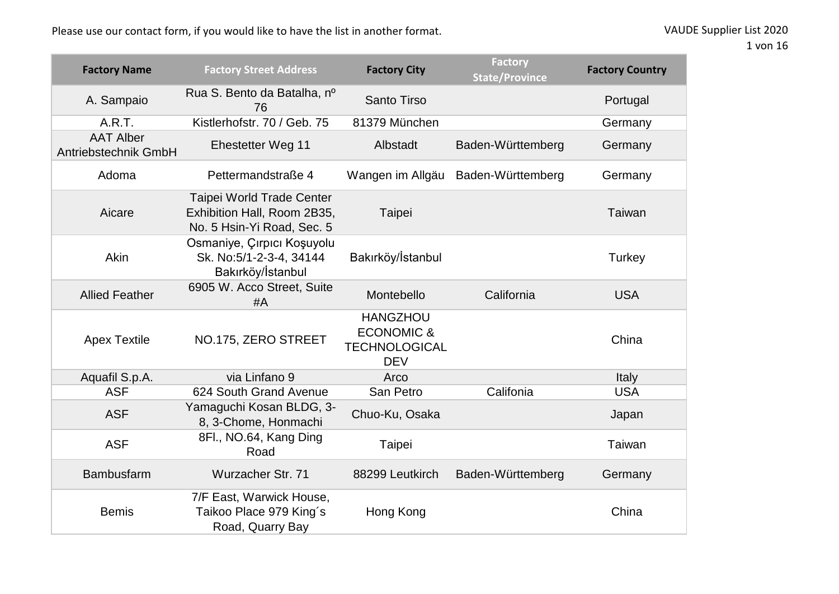| <b>Factory Name</b>                      | <b>Factory Street Address</b>                                                          | <b>Factory City</b>                                                            | <b>Factory</b><br><b>State/Province</b> | <b>Factory Country</b> |
|------------------------------------------|----------------------------------------------------------------------------------------|--------------------------------------------------------------------------------|-----------------------------------------|------------------------|
| A. Sampaio                               | Rua S. Bento da Batalha, nº<br>76                                                      | <b>Santo Tirso</b>                                                             |                                         | Portugal               |
| A.R.T.                                   | Kistlerhofstr, 70 / Geb. 75                                                            | 81379 München                                                                  |                                         | Germany                |
| <b>AAT Alber</b><br>Antriebstechnik GmbH | Ehestetter Weg 11                                                                      | Albstadt                                                                       | Baden-Württemberg                       | Germany                |
| Adoma                                    | Pettermandstraße 4                                                                     | Wangen im Allgäu                                                               | Baden-Württemberg                       | Germany                |
| Aicare                                   | Taipei World Trade Center<br>Exhibition Hall, Room 2B35,<br>No. 5 Hsin-Yi Road, Sec. 5 | Taipei                                                                         |                                         | Taiwan                 |
| Akin                                     | Osmaniye, Çırpıcı Koşuyolu<br>Sk. No:5/1-2-3-4, 34144<br>Bakırköy/İstanbul             | Bakırköy/İstanbul                                                              |                                         | Turkey                 |
| <b>Allied Feather</b>                    | 6905 W. Acco Street, Suite<br># $A$                                                    | Montebello                                                                     | California                              | <b>USA</b>             |
| <b>Apex Textile</b>                      | NO.175, ZERO STREET                                                                    | <b>HANGZHOU</b><br><b>ECONOMIC &amp;</b><br><b>TECHNOLOGICAL</b><br><b>DEV</b> |                                         | China                  |
| Aquafil S.p.A.                           | via Linfano 9                                                                          | Arco                                                                           |                                         | Italy                  |
| <b>ASF</b>                               | 624 South Grand Avenue                                                                 | San Petro                                                                      | Califonia                               | <b>USA</b>             |
| <b>ASF</b>                               | Yamaguchi Kosan BLDG, 3-<br>8, 3-Chome, Honmachi                                       | Chuo-Ku, Osaka                                                                 |                                         | Japan                  |
| <b>ASF</b>                               | 8Fl., NO.64, Kang Ding<br>Road                                                         | Taipei                                                                         |                                         | Taiwan                 |
| <b>Bambusfarm</b>                        | Wurzacher Str. 71                                                                      | 88299 Leutkirch                                                                | Baden-Württemberg                       | Germany                |
| <b>Bemis</b>                             | 7/F East, Warwick House,<br>Taikoo Place 979 King's<br>Road, Quarry Bay                | Hong Kong                                                                      |                                         | China                  |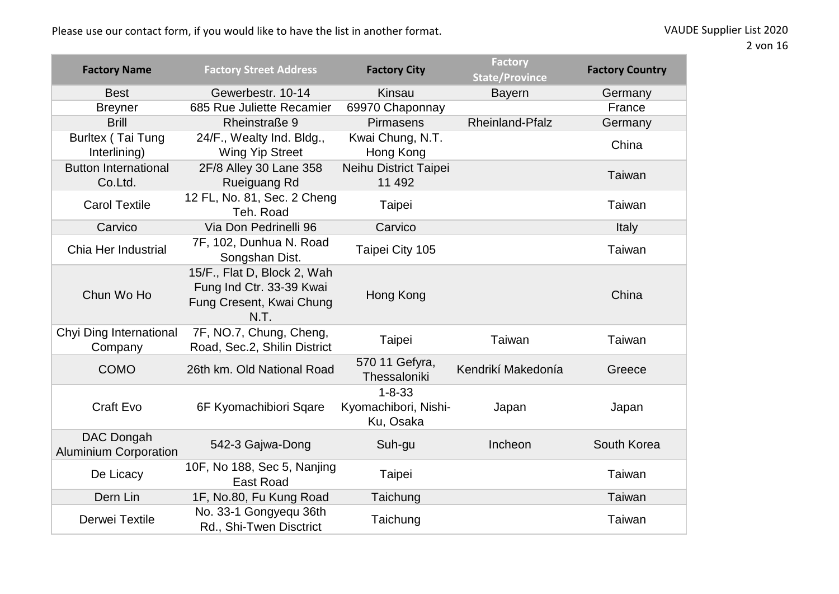| <b>Factory Name</b>                        | <b>Factory Street Address</b>                                                               | <b>Factory City</b>                               | <b>Factory</b><br><b>State/Province</b> | <b>Factory Country</b> |
|--------------------------------------------|---------------------------------------------------------------------------------------------|---------------------------------------------------|-----------------------------------------|------------------------|
| <b>Best</b>                                | Gewerbestr. 10-14                                                                           | Kinsau                                            | <b>Bayern</b>                           | Germany                |
| <b>Breyner</b>                             | 685 Rue Juliette Recamier                                                                   | 69970 Chaponnay                                   |                                         | France                 |
| <b>Brill</b>                               | Rheinstraße 9                                                                               | Pirmasens                                         | Rheinland-Pfalz                         | Germany                |
| Burltex (Tai Tung<br>Interlining)          | 24/F., Wealty Ind. Bldg.,<br><b>Wing Yip Street</b>                                         | Kwai Chung, N.T.<br>Hong Kong                     |                                         | China                  |
| <b>Button International</b><br>Co.Ltd.     | 2F/8 Alley 30 Lane 358<br>Rueiguang Rd                                                      | Neihu District Taipei<br>11 492                   |                                         | Taiwan                 |
| <b>Carol Textile</b>                       | 12 FL, No. 81, Sec. 2 Cheng<br>Teh. Road                                                    | Taipei                                            |                                         | Taiwan                 |
| Carvico                                    | Via Don Pedrinelli 96                                                                       | Carvico                                           |                                         | Italy                  |
| Chia Her Industrial                        | 7F, 102, Dunhua N. Road<br>Songshan Dist.                                                   | Taipei City 105                                   |                                         | Taiwan                 |
| Chun Wo Ho                                 | 15/F., Flat D, Block 2, Wah<br>Fung Ind Ctr. 33-39 Kwai<br>Fung Cresent, Kwai Chung<br>N.T. | Hong Kong                                         |                                         | China                  |
| Chyi Ding International<br>Company         | 7F, NO.7, Chung, Cheng,<br>Road, Sec.2, Shilin District                                     | Taipei                                            | Taiwan                                  | Taiwan                 |
| <b>COMO</b>                                | 26th km. Old National Road                                                                  | 570 11 Gefyra,<br>Thessaloniki                    | Kendrikí Makedonía                      | Greece                 |
| Craft Evo                                  | 6F Kyomachibiori Sqare                                                                      | $1 - 8 - 33$<br>Kyomachibori, Nishi-<br>Ku, Osaka | Japan                                   | Japan                  |
| DAC Dongah<br><b>Aluminium Corporation</b> | 542-3 Gajwa-Dong                                                                            | Suh-gu                                            | Incheon                                 | South Korea            |
| De Licacy                                  | 10F, No 188, Sec 5, Nanjing<br><b>East Road</b>                                             | Taipei                                            |                                         | Taiwan                 |
| Dern Lin                                   | 1F, No.80, Fu Kung Road                                                                     | Taichung                                          |                                         | Taiwan                 |
| Derwei Textile                             | No. 33-1 Gongyequ 36th<br>Rd., Shi-Twen Disctrict                                           | Taichung                                          |                                         | Taiwan                 |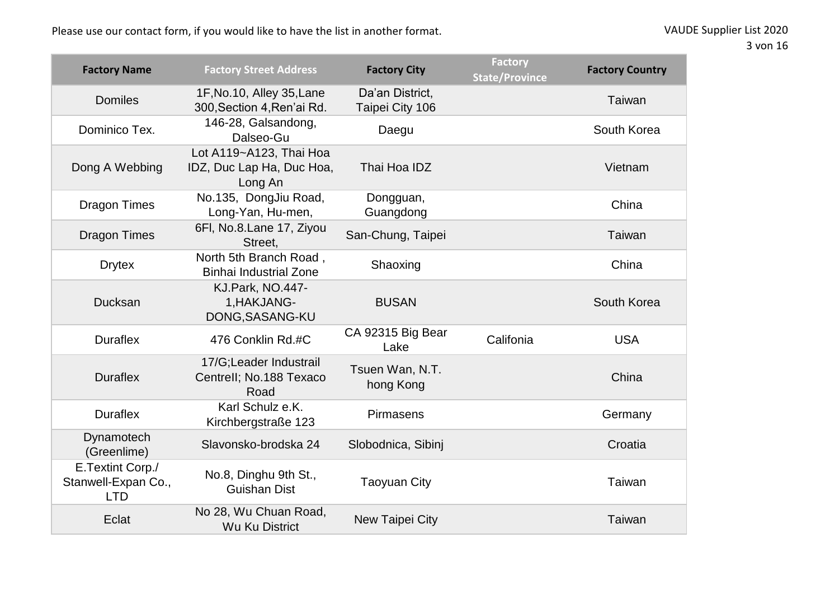| <b>Factory Name</b>                                   | <b>Factory Street Address</b>                                   | <b>Factory City</b>                | <b>Factory</b><br><b>State/Province</b> | <b>Factory Country</b> |
|-------------------------------------------------------|-----------------------------------------------------------------|------------------------------------|-----------------------------------------|------------------------|
| <b>Domiles</b>                                        | 1F, No. 10, Alley 35, Lane<br>300, Section 4, Ren'ai Rd.        | Da'an District,<br>Taipei City 106 |                                         | Taiwan                 |
| Dominico Tex.                                         | 146-28, Galsandong,<br>Dalseo-Gu                                | Daegu                              |                                         | South Korea            |
| Dong A Webbing                                        | Lot A119~A123, Thai Hoa<br>IDZ, Duc Lap Ha, Duc Hoa,<br>Long An | Thai Hoa IDZ                       |                                         | Vietnam                |
| <b>Dragon Times</b>                                   | No.135, DongJiu Road,<br>Long-Yan, Hu-men,                      | Dongguan,<br>Guangdong             |                                         | China                  |
| <b>Dragon Times</b>                                   | 6FI, No.8.Lane 17, Ziyou<br>Street,                             | San-Chung, Taipei                  |                                         | Taiwan                 |
| <b>Drytex</b>                                         | North 5th Branch Road,<br><b>Binhai Industrial Zone</b>         | Shaoxing                           |                                         | China                  |
| Ducksan                                               | KJ.Park, NO.447-<br>1, HAKJANG-<br>DONG, SASANG-KU              | <b>BUSAN</b>                       |                                         | South Korea            |
| <b>Duraflex</b>                                       | 476 Conklin Rd.#C                                               | CA 92315 Big Bear<br>Lake          | Califonia                               | <b>USA</b>             |
| <b>Duraflex</b>                                       | 17/G;Leader Industrail<br>Centrell; No.188 Texaco<br>Road       | Tsuen Wan, N.T.<br>hong Kong       |                                         | China                  |
| <b>Duraflex</b>                                       | Karl Schulz e.K.<br>Kirchbergstraße 123                         | Pirmasens                          |                                         | Germany                |
| Dynamotech<br>(Greenlime)                             | Slavonsko-brodska 24                                            | Slobodnica, Sibinj                 |                                         | Croatia                |
| E.Textint Corp./<br>Stanwell-Expan Co.,<br><b>LTD</b> | No.8, Dinghu 9th St.,<br><b>Guishan Dist</b>                    | <b>Taoyuan City</b>                |                                         | Taiwan                 |
| Eclat                                                 | No 28, Wu Chuan Road,<br><b>Wu Ku District</b>                  | New Taipei City                    |                                         | Taiwan                 |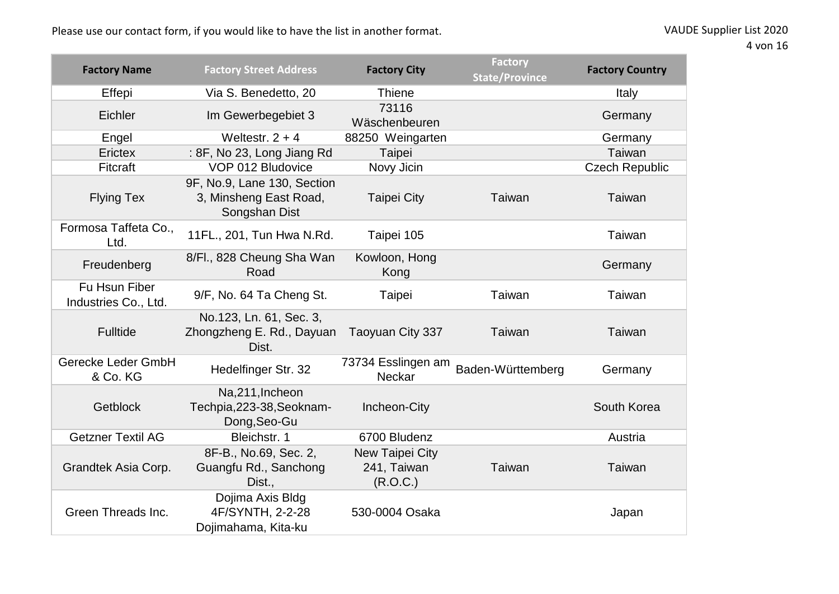| <b>Factory Name</b>                   | <b>Factory Street Address</b>                                          | <b>Factory City</b>                        | <b>Factory</b><br><b>State/Province</b> | <b>Factory Country</b> |
|---------------------------------------|------------------------------------------------------------------------|--------------------------------------------|-----------------------------------------|------------------------|
| Effepi                                | Via S. Benedetto, 20                                                   | <b>Thiene</b>                              |                                         | Italy                  |
| Eichler                               | Im Gewerbegebiet 3                                                     | 73116<br>Wäschenbeuren                     |                                         | Germany                |
| Engel                                 | Weltestr, $2 + 4$                                                      | 88250 Weingarten                           |                                         | Germany                |
| Erictex                               | : 8F, No 23, Long Jiang Rd                                             | Taipei                                     |                                         | Taiwan                 |
| Fitcraft                              | VOP 012 Bludovice                                                      | Novy Jicin                                 |                                         | <b>Czech Republic</b>  |
| <b>Flying Tex</b>                     | 9F, No.9, Lane 130, Section<br>3, Minsheng East Road,<br>Songshan Dist | <b>Taipei City</b>                         | Taiwan                                  | Taiwan                 |
| Formosa Taffeta Co.,<br>Ltd.          | 11FL., 201, Tun Hwa N.Rd.                                              | Taipei 105                                 |                                         | Taiwan                 |
| Freudenberg                           | 8/Fl., 828 Cheung Sha Wan<br>Road                                      | Kowloon, Hong<br>Kong                      |                                         | Germany                |
| Fu Hsun Fiber<br>Industries Co., Ltd. | 9/F, No. 64 Ta Cheng St.                                               | Taipei                                     | Taiwan                                  | Taiwan                 |
| <b>Fulltide</b>                       | No.123, Ln. 61, Sec. 3,<br>Zhongzheng E. Rd., Dayuan<br>Dist.          | Taoyuan City 337                           | Taiwan                                  | Taiwan                 |
| Gerecke Leder GmbH<br>& Co. KG        | Hedelfinger Str. 32                                                    | 73734 Esslingen am<br>Neckar               | Baden-Württemberg                       | Germany                |
| <b>Getblock</b>                       | Na,211, Incheon<br>Techpia, 223-38, Seoknam-<br>Dong, Seo-Gu           | Incheon-City                               |                                         | South Korea            |
| <b>Getzner Textil AG</b>              | Bleichstr. 1                                                           | 6700 Bludenz                               |                                         | Austria                |
| Grandtek Asia Corp.                   | 8F-B., No.69, Sec. 2,<br>Guangfu Rd., Sanchong<br>Dist.,               | New Taipei City<br>241, Taiwan<br>(R.O.C.) | Taiwan                                  | Taiwan                 |
| Green Threads Inc.                    | Dojima Axis Bldg<br>4F/SYNTH, 2-2-28<br>Dojimahama, Kita-ku            | 530-0004 Osaka                             |                                         | Japan                  |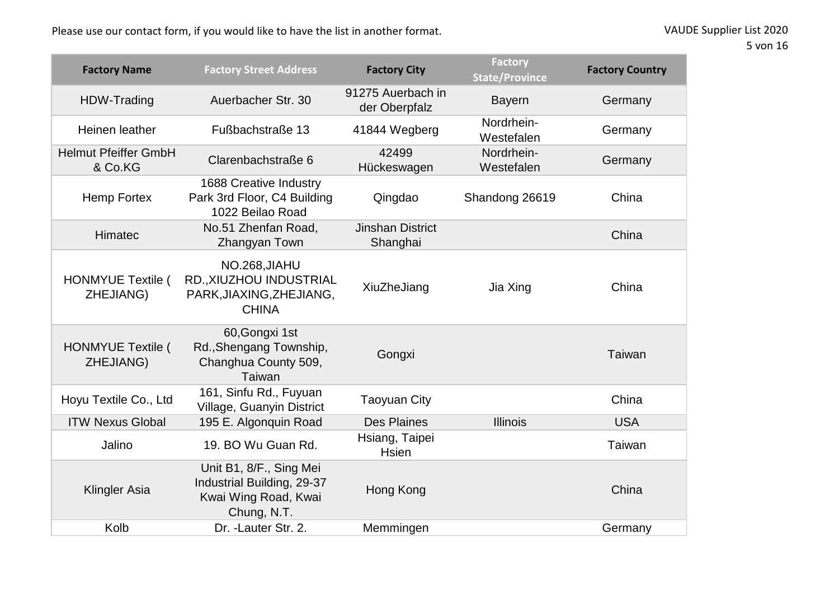| <b>Factory Name</b>                    | <b>Factory Street Address</b>                                                                | <b>Factory City</b>                 | <b>Factory</b><br><b>State/Province</b> | <b>Factory Country</b> |
|----------------------------------------|----------------------------------------------------------------------------------------------|-------------------------------------|-----------------------------------------|------------------------|
| HDW-Trading                            | Auerbacher Str. 30                                                                           | 91275 Auerbach in<br>der Oberpfalz  | <b>Bayern</b>                           | Germany                |
| Heinen leather                         | Fußbachstraße 13                                                                             | 41844 Wegberg                       | Nordrhein-<br>Westefalen                | Germany                |
| <b>Helmut Pfeiffer GmbH</b><br>& Co.KG | Clarenbachstraße 6                                                                           | 42499<br>Hückeswagen                | Nordrhein-<br>Westefalen                | Germany                |
| Hemp Fortex                            | 1688 Creative Industry<br>Park 3rd Floor, C4 Building<br>1022 Beilao Road                    | Qingdao                             | Shandong 26619                          | China                  |
| Himatec                                | No.51 Zhenfan Road,<br>Zhangyan Town                                                         | <b>Jinshan District</b><br>Shanghai |                                         | China                  |
| <b>HONMYUE Textile (</b><br>ZHEJIANG)  | NO.268, JIAHU<br>RD., XIUZHOU INDUSTRIAL<br>PARK, JIAXING, ZHE JIANG,<br><b>CHINA</b>        | XiuZheJiang                         | Jia Xing                                | China                  |
| <b>HONMYUE Textile (</b><br>ZHEJIANG)  | 60, Gongxi 1st<br>Rd., Shengang Township,<br>Changhua County 509,<br>Taiwan                  | Gongxi                              |                                         | Taiwan                 |
| Hoyu Textile Co., Ltd                  | 161, Sinfu Rd., Fuyuan<br>Village, Guanyin District                                          | <b>Taoyuan City</b>                 |                                         | China                  |
| <b>ITW Nexus Global</b>                | 195 E. Algonquin Road                                                                        | <b>Des Plaines</b>                  | <b>Illinois</b>                         | <b>USA</b>             |
| Jalino                                 | 19. BO Wu Guan Rd.                                                                           | Hsiang, Taipei<br><b>Hsien</b>      |                                         | Taiwan                 |
| <b>Klingler Asia</b>                   | Unit B1, 8/F., Sing Mei<br>Industrial Building, 29-37<br>Kwai Wing Road, Kwai<br>Chung, N.T. | Hong Kong                           |                                         | China                  |
| Kolb                                   | Dr. - Lauter Str. 2.                                                                         | Memmingen                           |                                         | Germany                |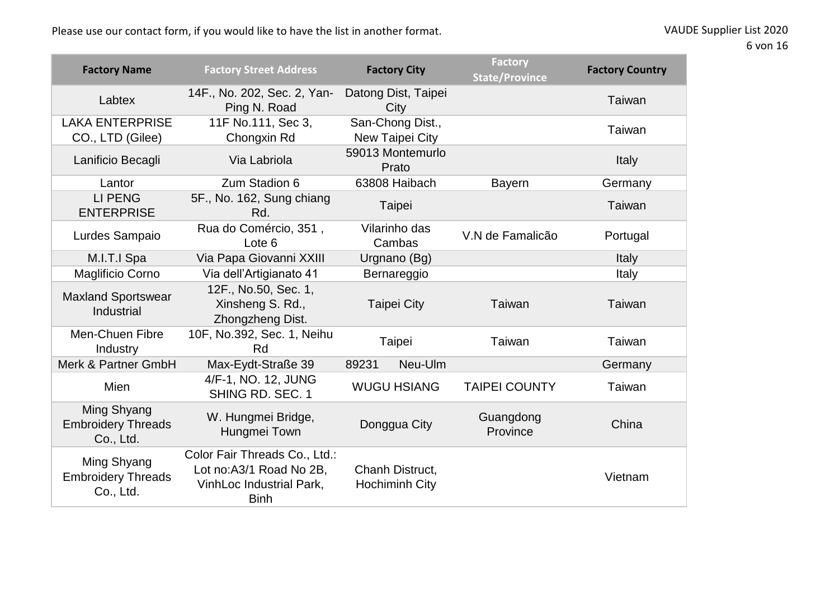| <b>Factory Name</b>                                   | <b>Factory Street Address</b>                                                                       | <b>Factory City</b>                      | <b>Factory</b><br><b>State/Province</b> | <b>Factory Country</b> |
|-------------------------------------------------------|-----------------------------------------------------------------------------------------------------|------------------------------------------|-----------------------------------------|------------------------|
| Labtex                                                | 14F., No. 202, Sec. 2, Yan-<br>Ping N. Road                                                         | Datong Dist, Taipei<br>City              |                                         | Taiwan                 |
| <b>LAKA ENTERPRISE</b><br>CO., LTD (Gilee)            | 11F No.111, Sec 3,<br>Chongxin Rd                                                                   | San-Chong Dist.,<br>New Taipei City      |                                         | Taiwan                 |
| Lanificio Becagli                                     | Via Labriola                                                                                        | 59013 Montemurlo<br>Prato                |                                         | Italy                  |
| Lantor                                                | Zum Stadion 6                                                                                       | 63808 Haibach                            | <b>Bayern</b>                           | Germany                |
| <b>LI PENG</b><br><b>ENTERPRISE</b>                   | 5F., No. 162, Sung chiang<br>Rd.                                                                    | Taipei                                   |                                         | Taiwan                 |
| Lurdes Sampaio                                        | Rua do Comércio, 351,<br>Lote 6                                                                     | Vilarinho das<br>Cambas                  | V.N de Famalicão                        | Portugal               |
| M.I.T.I Spa                                           | Via Papa Giovanni XXIII                                                                             | Urgnano (Bg)                             |                                         | Italy                  |
| Maglificio Corno                                      | Via dell'Artigianato 41                                                                             | Bernareggio                              |                                         | Italy                  |
| <b>Maxland Sportswear</b><br>Industrial               | 12F., No.50, Sec. 1,<br>Xinsheng S. Rd.,<br>Zhongzheng Dist.                                        | <b>Taipei City</b>                       | Taiwan                                  | Taiwan                 |
| Men-Chuen Fibre<br>Industry                           | 10F, No.392, Sec. 1, Neihu<br>Rd                                                                    | Taipei                                   | Taiwan                                  | Taiwan                 |
| Merk & Partner GmbH                                   | Max-Eydt-Straße 39                                                                                  | 89231<br>Neu-Ulm                         |                                         | Germany                |
| <b>Mien</b>                                           | 4/F-1, NO. 12, JUNG<br>SHING RD, SEC. 1                                                             | <b>WUGU HSIANG</b>                       | <b>TAIPEI COUNTY</b>                    | Taiwan                 |
| Ming Shyang<br><b>Embroidery Threads</b><br>Co., Ltd. | W. Hungmei Bridge,<br>Hungmei Town                                                                  | Donggua City                             | Guangdong<br>Province                   | China                  |
| Ming Shyang<br><b>Embroidery Threads</b><br>Co., Ltd. | Color Fair Threads Co., Ltd.:<br>Lot no:A3/1 Road No 2B,<br>VinhLoc Industrial Park,<br><b>Binh</b> | Chanh Distruct,<br><b>Hochiminh City</b> |                                         | Vietnam                |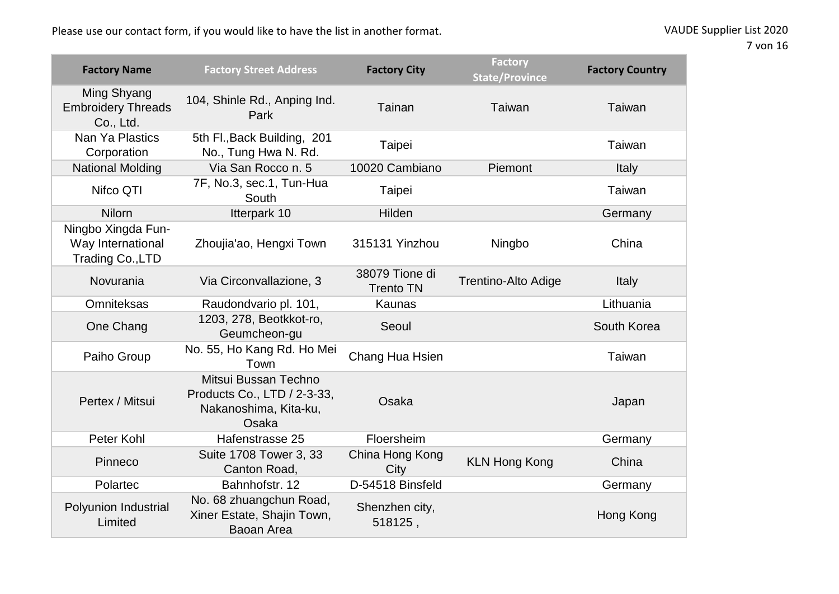| <b>Factory Name</b>                                         | <b>Factory Street Address</b>                                                         | <b>Factory City</b>                | <b>Factory</b><br><b>State/Province</b> | <b>Factory Country</b> |
|-------------------------------------------------------------|---------------------------------------------------------------------------------------|------------------------------------|-----------------------------------------|------------------------|
| Ming Shyang<br><b>Embroidery Threads</b><br>Co., Ltd.       | 104, Shinle Rd., Anping Ind.<br>Park                                                  | Tainan                             | Taiwan                                  | Taiwan                 |
| Nan Ya Plastics<br>Corporation                              | 5th Fl., Back Building, 201<br>No., Tung Hwa N. Rd.                                   | Taipei                             |                                         | Taiwan                 |
| <b>National Molding</b>                                     | Via San Rocco n. 5                                                                    | 10020 Cambiano                     | Piemont                                 | Italy                  |
| Nifco QTI                                                   | 7F, No.3, sec.1, Tun-Hua<br>South                                                     | Taipei                             |                                         | Taiwan                 |
| <b>Nilorn</b>                                               | Itterpark 10                                                                          | Hilden                             |                                         | Germany                |
| Ningbo Xingda Fun-<br>Way International<br>Trading Co., LTD | Zhoujia'ao, Hengxi Town                                                               | 315131 Yinzhou                     | Ningbo                                  | China                  |
| Novurania                                                   | Via Circonvallazione, 3                                                               | 38079 Tione di<br><b>Trento TN</b> | <b>Trentino-Alto Adige</b>              | Italy                  |
| <b>Omniteksas</b>                                           | Raudondvario pl. 101,                                                                 | <b>Kaunas</b>                      |                                         | Lithuania              |
| One Chang                                                   | 1203, 278, Beotkkot-ro,<br>Geumcheon-gu                                               | Seoul                              |                                         | South Korea            |
| Paiho Group                                                 | No. 55, Ho Kang Rd. Ho Mei<br>Town                                                    | Chang Hua Hsien                    |                                         | Taiwan                 |
| Pertex / Mitsui                                             | Mitsui Bussan Techno<br>Products Co., LTD / 2-3-33,<br>Nakanoshima, Kita-ku,<br>Osaka | Osaka                              |                                         | Japan                  |
| Peter Kohl                                                  | Hafenstrasse 25                                                                       | Floersheim                         |                                         | Germany                |
| Pinneco                                                     | Suite 1708 Tower 3, 33<br>Canton Road,                                                | China Hong Kong<br>City            | <b>KLN Hong Kong</b>                    | China                  |
| Polartec                                                    | Bahnhofstr, 12                                                                        | D-54518 Binsfeld                   |                                         | Germany                |
| Polyunion Industrial<br>Limited                             | No. 68 zhuangchun Road,<br>Xiner Estate, Shajin Town,<br>Baoan Area                   | Shenzhen city,<br>518125,          |                                         | Hong Kong              |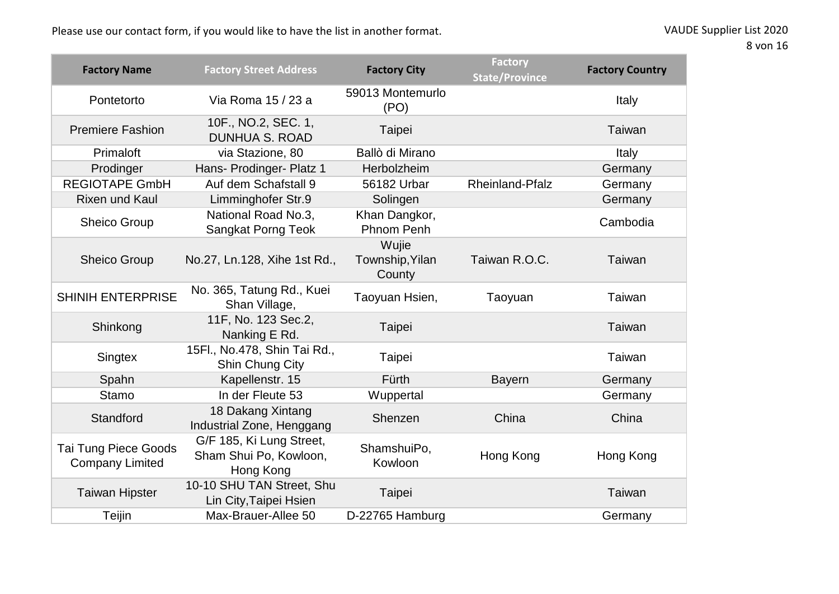| <b>Factory Name</b>                                   | <b>Factory Street Address</b>                                   | <b>Factory City</b>                | <b>Factory</b><br><b>State/Province</b> | <b>Factory Country</b> |
|-------------------------------------------------------|-----------------------------------------------------------------|------------------------------------|-----------------------------------------|------------------------|
| Pontetorto                                            | Via Roma 15 / 23 a                                              | 59013 Montemurlo<br>(PO)           |                                         | Italy                  |
| <b>Premiere Fashion</b>                               | 10F., NO.2, SEC. 1,<br><b>DUNHUA S. ROAD</b>                    | Taipei                             |                                         | Taiwan                 |
| Primaloft                                             | via Stazione, 80                                                | Ballò di Mirano                    |                                         | Italy                  |
| Prodinger                                             | Hans- Prodinger- Platz 1                                        | Herbolzheim                        |                                         | Germany                |
| <b>REGIOTAPE GmbH</b>                                 | Auf dem Schafstall 9                                            | 56182 Urbar                        | <b>Rheinland-Pfalz</b>                  | Germany                |
| <b>Rixen und Kaul</b>                                 | Limminghofer Str.9                                              | Solingen                           |                                         | Germany                |
| Sheico Group                                          | National Road No.3,<br><b>Sangkat Porng Teok</b>                | Khan Dangkor,<br><b>Phnom Penh</b> |                                         | Cambodia               |
| <b>Sheico Group</b>                                   | No.27, Ln.128, Xihe 1st Rd.,                                    | Wujie<br>Township, Yilan<br>County | Taiwan R.O.C.                           | Taiwan                 |
| <b>SHINIH ENTERPRISE</b>                              | No. 365, Tatung Rd., Kuei<br>Shan Village,                      | Taoyuan Hsien,                     | Taoyuan                                 | Taiwan                 |
| Shinkong                                              | 11F, No. 123 Sec.2,<br>Nanking E Rd.                            | Taipei                             |                                         | Taiwan                 |
| Singtex                                               | 15Fl., No.478, Shin Tai Rd.,<br>Shin Chung City                 | Taipei                             |                                         | Taiwan                 |
| Spahn                                                 | Kapellenstr. 15                                                 | Fürth                              | <b>Bayern</b>                           | Germany                |
| <b>Stamo</b>                                          | In der Fleute 53                                                | Wuppertal                          |                                         | Germany                |
| Standford                                             | 18 Dakang Xintang<br>Industrial Zone, Henggang                  | Shenzen                            | China                                   | China                  |
| <b>Tai Tung Piece Goods</b><br><b>Company Limited</b> | G/F 185, Ki Lung Street,<br>Sham Shui Po, Kowloon,<br>Hong Kong | ShamshuiPo,<br>Kowloon             | Hong Kong                               | Hong Kong              |
| <b>Taiwan Hipster</b>                                 | 10-10 SHU TAN Street, Shu<br>Lin City, Taipei Hsien             | Taipei                             |                                         | Taiwan                 |
| Teijin                                                | Max-Brauer-Allee 50                                             | D-22765 Hamburg                    |                                         | Germany                |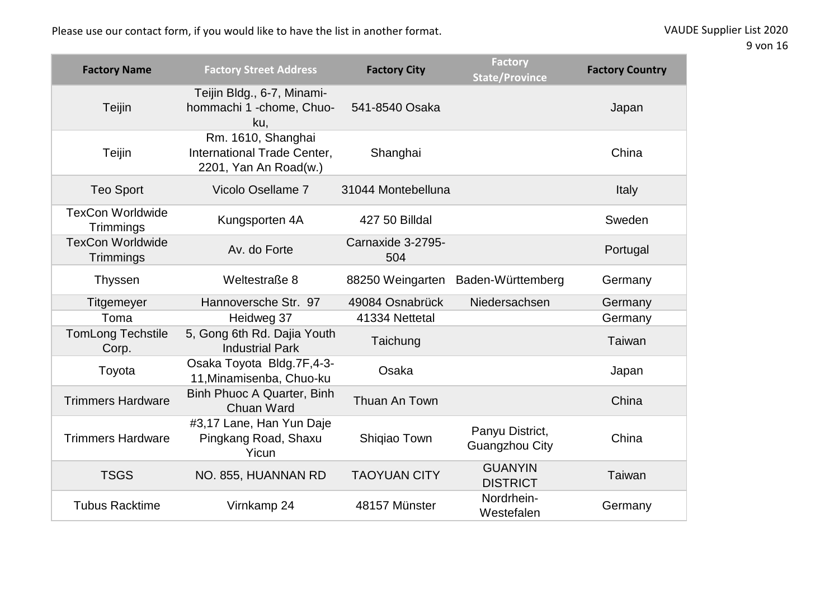Please use our contact form, if you would like to have the list in another format.

| VAUDE Supplier List 2020 |  |
|--------------------------|--|
|--------------------------|--|

9 von 16

| <b>Factory Name</b>                  | <b>Factory Street Address</b>                                              | <b>Factory City</b>      | <b>Factory</b><br><b>State/Province</b>  | <b>Factory Country</b> |
|--------------------------------------|----------------------------------------------------------------------------|--------------------------|------------------------------------------|------------------------|
| Teijin                               | Teijin Bldg., 6-7, Minami-<br>hommachi 1 -chome, Chuo-<br>ku,              | 541-8540 Osaka           |                                          | Japan                  |
| Teijin                               | Rm. 1610, Shanghai<br>International Trade Center,<br>2201, Yan An Road(w.) | Shanghai                 |                                          | China                  |
| <b>Teo Sport</b>                     | Vicolo Osellame 7                                                          | 31044 Montebelluna       |                                          | Italy                  |
| <b>TexCon Worldwide</b><br>Trimmings | Kungsporten 4A                                                             | 427 50 Billdal           |                                          | Sweden                 |
| <b>TexCon Worldwide</b><br>Trimmings | Av. do Forte                                                               | Carnaxide 3-2795-<br>504 |                                          | Portugal               |
| <b>Thyssen</b>                       | Weltestraße 8                                                              | 88250 Weingarten         | Baden-Württemberg                        | Germany                |
| <b>Titgemeyer</b>                    | Hannoversche Str. 97                                                       | 49084 Osnabrück          | Niedersachsen                            | Germany                |
| Toma                                 | Heidweg 37                                                                 | 41334 Nettetal           |                                          | Germany                |
| <b>TomLong Techstile</b><br>Corp.    | 5, Gong 6th Rd. Dajia Youth<br><b>Industrial Park</b>                      | Taichung                 |                                          | Taiwan                 |
| Toyota                               | Osaka Toyota Bldg.7F,4-3-<br>11, Minamisenba, Chuo-ku                      | Osaka                    |                                          | Japan                  |
| <b>Trimmers Hardware</b>             | Binh Phuoc A Quarter, Binh<br><b>Chuan Ward</b>                            | Thuan An Town            |                                          | China                  |
| <b>Trimmers Hardware</b>             | #3,17 Lane, Han Yun Daje<br>Pingkang Road, Shaxu<br>Yicun                  | Shiqiao Town             | Panyu District,<br><b>Guangzhou City</b> | China                  |
| <b>TSGS</b>                          | NO. 855, HUANNAN RD                                                        | <b>TAOYUAN CITY</b>      | <b>GUANYIN</b><br><b>DISTRICT</b>        | Taiwan                 |
| <b>Tubus Racktime</b>                | Virnkamp 24                                                                | 48157 Münster            | Nordrhein-<br>Westefalen                 | Germany                |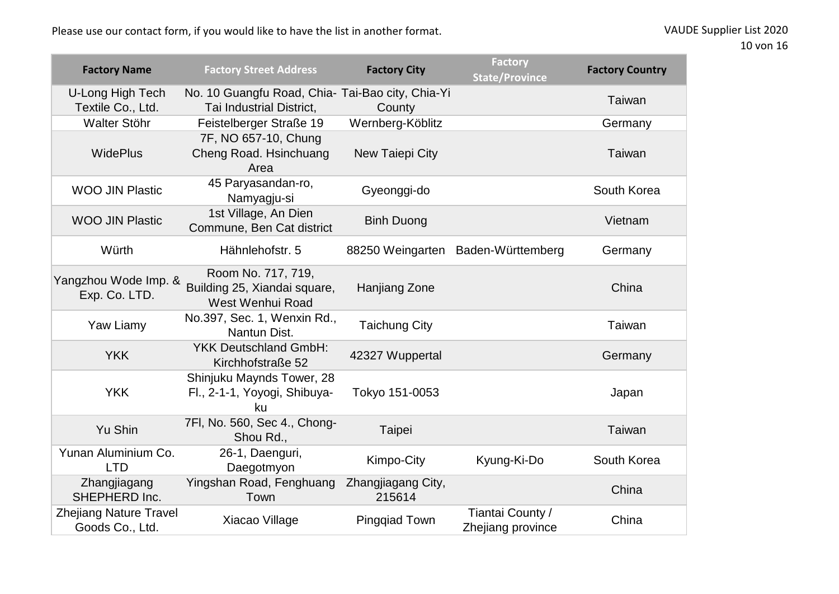| <b>Factory Name</b>                              | <b>Factory Street Address</b>                                                | <b>Factory City</b>          | <b>Factory</b><br><b>State/Province</b> | <b>Factory Country</b> |
|--------------------------------------------------|------------------------------------------------------------------------------|------------------------------|-----------------------------------------|------------------------|
| U-Long High Tech<br>Textile Co., Ltd.            | No. 10 Guangfu Road, Chia- Tai-Bao city, Chia-Yi<br>Tai Industrial District, | County                       |                                         | Taiwan                 |
| Walter Stöhr                                     | Feistelberger Straße 19                                                      | Wernberg-Köblitz             |                                         | Germany                |
| <b>WidePlus</b>                                  | 7F, NO 657-10, Chung<br>Cheng Road. Hsinchuang<br>Area                       | New Taiepi City              |                                         | Taiwan                 |
| <b>WOO JIN Plastic</b>                           | 45 Paryasandan-ro,<br>Namyagju-si                                            | Gyeonggi-do                  |                                         | South Korea            |
| <b>WOO JIN Plastic</b>                           | 1st Village, An Dien<br>Commune, Ben Cat district                            | <b>Binh Duong</b>            |                                         | Vietnam                |
| Würth                                            | Hähnlehofstr. 5                                                              |                              | 88250 Weingarten Baden-Württemberg      | Germany                |
| Yangzhou Wode Imp. &<br>Exp. Co. LTD.            | Room No. 717, 719,<br>Building 25, Xiandai square,<br>West Wenhui Road       | Hanjiang Zone                |                                         | China                  |
| Yaw Liamy                                        | No.397, Sec. 1, Wenxin Rd.,<br>Nantun Dist.                                  | <b>Taichung City</b>         |                                         | Taiwan                 |
| <b>YKK</b>                                       | <b>YKK Deutschland GmbH:</b><br>Kirchhofstraße 52                            | 42327 Wuppertal              |                                         | Germany                |
| <b>YKK</b>                                       | Shinjuku Maynds Tower, 28<br>Fl., 2-1-1, Yoyogi, Shibuya-<br>ku              | Tokyo 151-0053               |                                         | Japan                  |
| Yu Shin                                          | 7FI, No. 560, Sec 4., Chong-<br>Shou Rd.,                                    | Taipei                       |                                         | Taiwan                 |
| Yunan Aluminium Co.<br><b>LTD</b>                | 26-1, Daenguri,<br>Daegotmyon                                                | Kimpo-City                   | Kyung-Ki-Do                             | South Korea            |
| Zhangjiagang<br>SHEPHERD Inc.                    | Yingshan Road, Fenghuang<br>Town                                             | Zhangjiagang City,<br>215614 |                                         | China                  |
| <b>Zhejiang Nature Travel</b><br>Goods Co., Ltd. | Xiacao Village                                                               | <b>Pingqiad Town</b>         | Tiantai County /<br>Zhejiang province   | China                  |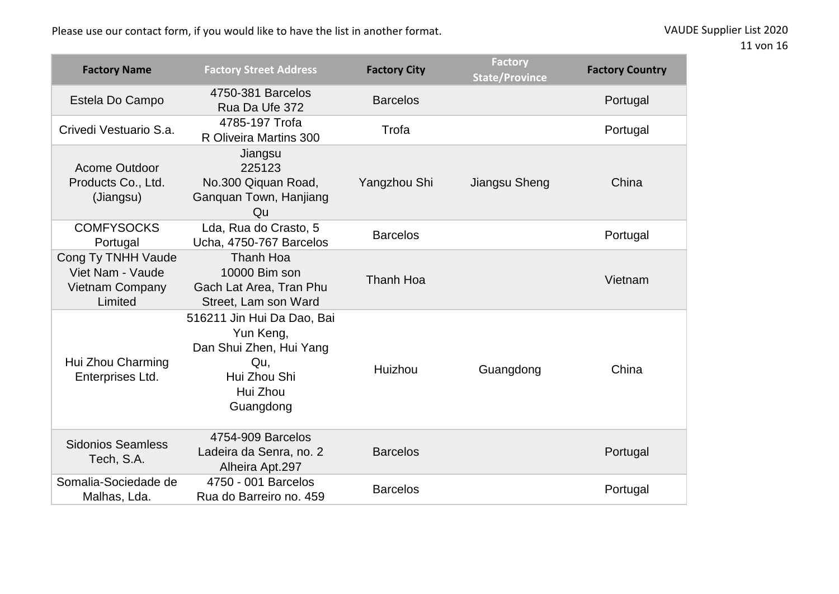| <b>Factory Name</b>                                                         | <b>Factory Street Address</b>                                                                                      | <b>Factory City</b> | <b>Factory</b><br><b>State/Province</b> | <b>Factory Country</b> |
|-----------------------------------------------------------------------------|--------------------------------------------------------------------------------------------------------------------|---------------------|-----------------------------------------|------------------------|
| Estela Do Campo                                                             | 4750-381 Barcelos<br>Rua Da Ufe 372                                                                                | <b>Barcelos</b>     |                                         | Portugal               |
| Crivedi Vestuario S.a.                                                      | 4785-197 Trofa<br>R Oliveira Martins 300                                                                           | Trofa               |                                         | Portugal               |
| <b>Acome Outdoor</b><br>Products Co., Ltd.<br>(Jiangsu)                     | Jiangsu<br>225123<br>No.300 Qiquan Road,<br>Ganguan Town, Hanjiang<br>Qu                                           | Yangzhou Shi        | Jiangsu Sheng                           | China                  |
| <b>COMFYSOCKS</b><br>Portugal                                               | Lda, Rua do Crasto, 5<br>Ucha, 4750-767 Barcelos                                                                   | <b>Barcelos</b>     |                                         | Portugal               |
| Cong Ty TNHH Vaude<br>Viet Nam - Vaude<br><b>Vietnam Company</b><br>Limited | Thanh Hoa<br>10000 Bim son<br>Gach Lat Area, Tran Phu<br>Street, Lam son Ward                                      | Thanh Hoa           |                                         | Vietnam                |
| Hui Zhou Charming<br>Enterprises Ltd.                                       | 516211 Jin Hui Da Dao, Bai<br>Yun Keng,<br>Dan Shui Zhen, Hui Yang<br>Qu,<br>Hui Zhou Shi<br>Hui Zhou<br>Guangdong | Huizhou             | Guangdong                               | China                  |
| <b>Sidonios Seamless</b><br>Tech, S.A.                                      | 4754-909 Barcelos<br>Ladeira da Senra, no. 2<br>Alheira Apt.297                                                    | <b>Barcelos</b>     |                                         | Portugal               |
| Somalia-Sociedade de<br>Malhas, Lda.                                        | 4750 - 001 Barcelos<br>Rua do Barreiro no. 459                                                                     | <b>Barcelos</b>     |                                         | Portugal               |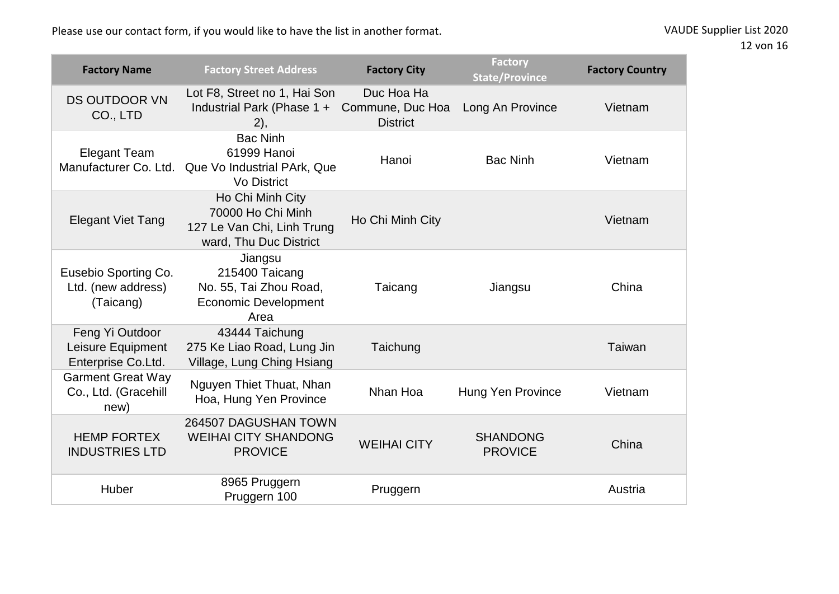Please use our contact form, if you would like to have the list in another format.

| VAUDE Supplier List 2020 |  |  |  |
|--------------------------|--|--|--|
|--------------------------|--|--|--|

| <b>Factory Name</b>                                        | <b>Factory Street Address</b>                                                                 | <b>Factory City</b>                               | <b>Factory</b><br><b>State/Province</b> | <b>Factory Country</b> |
|------------------------------------------------------------|-----------------------------------------------------------------------------------------------|---------------------------------------------------|-----------------------------------------|------------------------|
| <b>DS OUTDOOR VN</b><br>CO., LTD                           | Lot F8, Street no 1, Hai Son<br>Industrial Park (Phase 1 +<br>2),                             | Duc Hoa Ha<br>Commune, Duc Hoa<br><b>District</b> | Long An Province                        | Vietnam                |
| <b>Elegant Team</b><br>Manufacturer Co. Ltd.               | <b>Bac Ninh</b><br>61999 Hanoi<br>Que Vo Industrial PArk, Que<br><b>Vo District</b>           | Hanoi                                             | <b>Bac Ninh</b>                         | Vietnam                |
| <b>Elegant Viet Tang</b>                                   | Ho Chi Minh City<br>70000 Ho Chi Minh<br>127 Le Van Chi, Linh Trung<br>ward, Thu Duc District | Ho Chi Minh City                                  |                                         | Vietnam                |
| Eusebio Sporting Co.<br>Ltd. (new address)<br>(Taicang)    | Jiangsu<br>215400 Taicang<br>No. 55, Tai Zhou Road,<br><b>Economic Development</b><br>Area    | Taicang                                           | Jiangsu                                 | China                  |
| Feng Yi Outdoor<br>Leisure Equipment<br>Enterprise Co.Ltd. | 43444 Taichung<br>275 Ke Liao Road, Lung Jin<br>Village, Lung Ching Hsiang                    | Taichung                                          |                                         | Taiwan                 |
| <b>Garment Great Way</b><br>Co., Ltd. (Gracehill<br>new)   | Nguyen Thiet Thuat, Nhan<br>Hoa, Hung Yen Province                                            | Nhan Hoa                                          | Hung Yen Province                       | Vietnam                |
| <b>HEMP FORTEX</b><br><b>INDUSTRIES LTD</b>                | 264507 DAGUSHAN TOWN<br><b>WEIHAI CITY SHANDONG</b><br><b>PROVICE</b>                         | <b>WEIHAI CITY</b>                                | <b>SHANDONG</b><br><b>PROVICE</b>       | China                  |
| Huber                                                      | 8965 Pruggern<br>Pruggern 100                                                                 | Pruggern                                          |                                         | Austria                |

12 von 16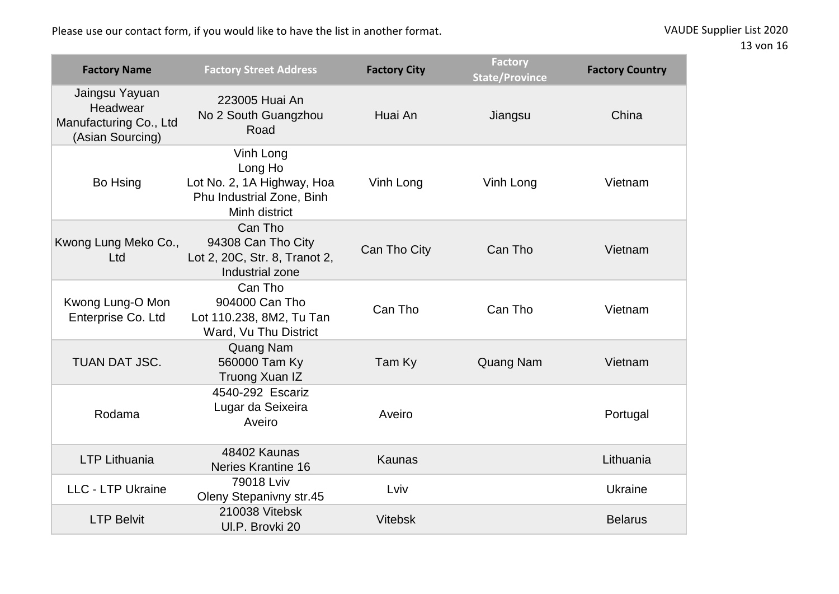| <b>Factory Name</b>                                                      | <b>Factory Street Address</b>                                                                    | <b>Factory City</b> | <b>Factory</b><br><b>State/Province</b> | <b>Factory Country</b> |
|--------------------------------------------------------------------------|--------------------------------------------------------------------------------------------------|---------------------|-----------------------------------------|------------------------|
| Jaingsu Yayuan<br>Headwear<br>Manufacturing Co., Ltd<br>(Asian Sourcing) | 223005 Huai An<br>No 2 South Guangzhou<br>Road                                                   | Huai An             | Jiangsu                                 | China                  |
| Bo Hsing                                                                 | Vinh Long<br>Long Ho<br>Lot No. 2, 1A Highway, Hoa<br>Phu Industrial Zone, Binh<br>Minh district | Vinh Long           | Vinh Long                               | Vietnam                |
| Kwong Lung Meko Co.,<br>Ltd                                              | Can Tho<br>94308 Can Tho City<br>Lot 2, 20C, Str. 8, Tranot 2,<br>Industrial zone                | Can Tho City        | Can Tho                                 | Vietnam                |
| Kwong Lung-O Mon<br>Enterprise Co. Ltd                                   | Can Tho<br>904000 Can Tho<br>Lot 110.238, 8M2, Tu Tan<br>Ward, Vu Thu District                   | Can Tho             | Can Tho                                 | Vietnam                |
| <b>TUAN DAT JSC.</b>                                                     | Quang Nam<br>560000 Tam Ky<br>Truong Xuan IZ                                                     | Tam Ky              | Quang Nam                               | Vietnam                |
| Rodama                                                                   | 4540-292 Escariz<br>Lugar da Seixeira<br>Aveiro                                                  | Aveiro              |                                         | Portugal               |
| <b>LTP Lithuania</b>                                                     | 48402 Kaunas<br>Neries Krantine 16                                                               | <b>Kaunas</b>       |                                         | Lithuania              |
| <b>LLC - LTP Ukraine</b>                                                 | 79018 Lviv<br>Oleny Stepanivny str.45                                                            | Lviv                |                                         | Ukraine                |
| <b>LTP Belvit</b>                                                        | 210038 Vitebsk<br>UI.P. Brovki 20                                                                | <b>Vitebsk</b>      |                                         | <b>Belarus</b>         |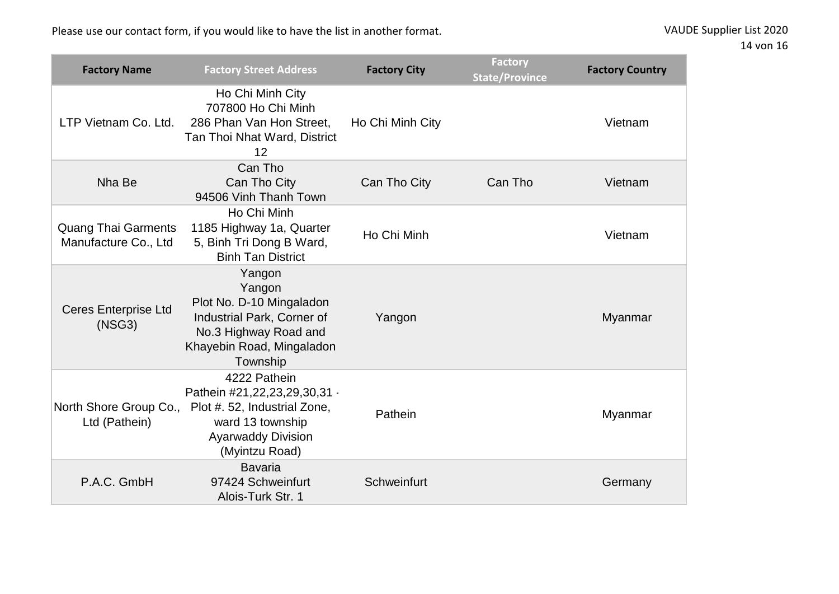| <b>Factory Name</b>                                | <b>Factory Street Address</b>                                                                                                                   | <b>Factory City</b> | <b>Factory</b><br><b>State/Province</b> | <b>Factory Country</b> |
|----------------------------------------------------|-------------------------------------------------------------------------------------------------------------------------------------------------|---------------------|-----------------------------------------|------------------------|
| LTP Vietnam Co. Ltd.                               | Ho Chi Minh City<br>707800 Ho Chi Minh<br>286 Phan Van Hon Street,<br>Tan Thoi Nhat Ward, District<br>12                                        | Ho Chi Minh City    |                                         | Vietnam                |
| Nha Be                                             | Can Tho<br>Can Tho City<br>94506 Vinh Thanh Town                                                                                                | Can Tho City        | Can Tho                                 | Vietnam                |
| <b>Quang Thai Garments</b><br>Manufacture Co., Ltd | Ho Chi Minh<br>1185 Highway 1a, Quarter<br>5, Binh Tri Dong B Ward,<br><b>Binh Tan District</b>                                                 | Ho Chi Minh         |                                         | Vietnam                |
| <b>Ceres Enterprise Ltd</b><br>(NSG3)              | Yangon<br>Yangon<br>Plot No. D-10 Mingaladon<br>Industrial Park, Corner of<br>No.3 Highway Road and<br>Khayebin Road, Mingaladon<br>Township    | Yangon              |                                         | Myanmar                |
| North Shore Group Co.,<br>Ltd (Pathein)            | 4222 Pathein<br>Pathein #21,22,23,29,30,31 -<br>Plot #. 52, Industrial Zone,<br>ward 13 township<br><b>Ayarwaddy Division</b><br>(Myintzu Road) | Pathein             |                                         | Myanmar                |
| P.A.C. GmbH                                        | <b>Bavaria</b><br>97424 Schweinfurt<br>Alois-Turk Str. 1                                                                                        | Schweinfurt         |                                         | Germany                |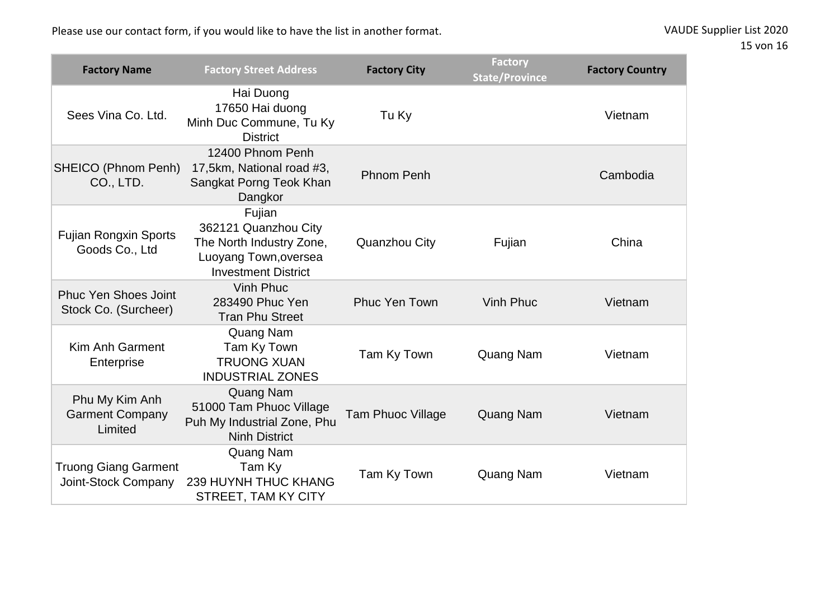| <b>Factory Name</b>                                 | <b>Factory Street Address</b>                                                                                     | <b>Factory City</b>      | <b>Factory</b><br><b>State/Province</b> | <b>Factory Country</b> |
|-----------------------------------------------------|-------------------------------------------------------------------------------------------------------------------|--------------------------|-----------------------------------------|------------------------|
| Sees Vina Co. Ltd.                                  | Hai Duong<br>17650 Hai duong<br>Minh Duc Commune, Tu Ky<br><b>District</b>                                        | Tu Ky                    |                                         | Vietnam                |
| SHEICO (Phnom Penh)<br>CO., LTD.                    | 12400 Phnom Penh<br>17,5km, National road #3,<br>Sangkat Porng Teok Khan<br>Dangkor                               | <b>Phnom Penh</b>        |                                         | Cambodia               |
| <b>Fujian Rongxin Sports</b><br>Goods Co., Ltd      | Fujian<br>362121 Quanzhou City<br>The North Industry Zone,<br>Luoyang Town, oversea<br><b>Investment District</b> | Quanzhou City            | Fujian                                  | China                  |
| <b>Phuc Yen Shoes Joint</b><br>Stock Co. (Surcheer) | <b>Vinh Phuc</b><br>283490 Phuc Yen<br><b>Tran Phu Street</b>                                                     | <b>Phuc Yen Town</b>     | <b>Vinh Phuc</b>                        | Vietnam                |
| Kim Anh Garment<br>Enterprise                       | Quang Nam<br>Tam Ky Town<br><b>TRUONG XUAN</b><br><b>INDUSTRIAL ZONES</b>                                         | Tam Ky Town              | <b>Quang Nam</b>                        | Vietnam                |
| Phu My Kim Anh<br><b>Garment Company</b><br>Limited | <b>Quang Nam</b><br>51000 Tam Phuoc Village<br>Puh My Industrial Zone, Phu<br><b>Ninh District</b>                | <b>Tam Phuoc Village</b> | <b>Quang Nam</b>                        | Vietnam                |
| <b>Truong Giang Garment</b><br>Joint-Stock Company  | Quang Nam<br>Tam Ky<br><b>239 HUYNH THUC KHANG</b><br>STREET, TAM KY CITY                                         | Tam Ky Town              | Quang Nam                               | Vietnam                |